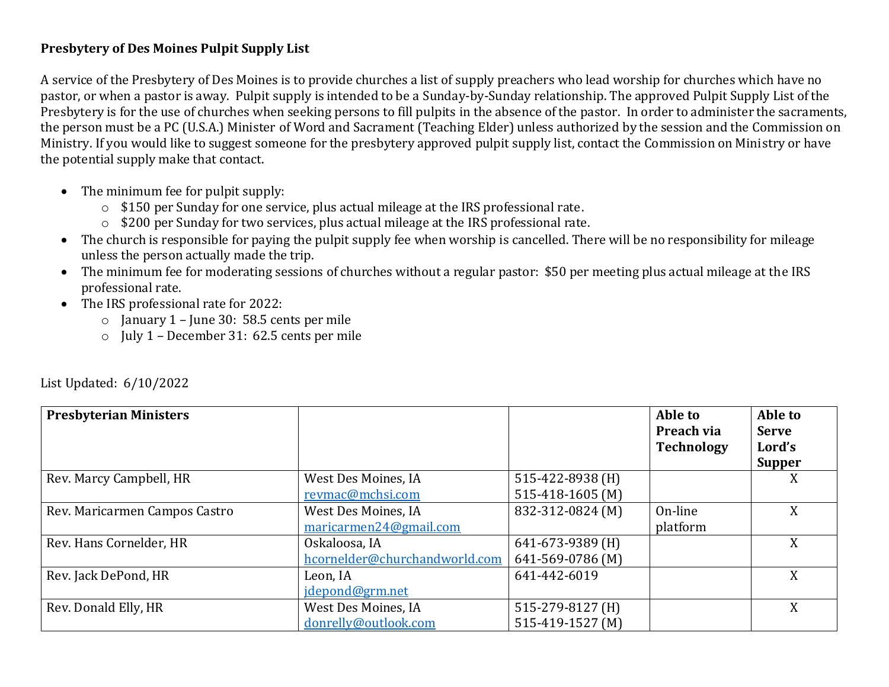## **Presbytery of Des Moines Pulpit Supply List**

A service of the Presbytery of Des Moines is to provide churches a list of supply preachers who lead worship for churches which have no pastor, or when a pastor is away. Pulpit supply is intended to be a Sunday-by-Sunday relationship. The approved Pulpit Supply List of the Presbytery is for the use of churches when seeking persons to fill pulpits in the absence of the pastor. In order to administer the sacraments, the person must be a PC (U.S.A.) Minister of Word and Sacrament (Teaching Elder) unless authorized by the session and the Commission on Ministry. If you would like to suggest someone for the presbytery approved pulpit supply list, contact the Commission on Ministry or have the potential supply make that contact.

- The minimum fee for pulpit supply:
	- o \$150 per Sunday for one service, plus actual mileage at the IRS professional rate.
	- o \$200 per Sunday for two services, plus actual mileage at the IRS professional rate.
- The church is responsible for paying the pulpit supply fee when worship is cancelled. There will be no responsibility for mileage unless the person actually made the trip.
- The minimum fee for moderating sessions of churches without a regular pastor: \$50 per meeting plus actual mileage at the IRS professional rate.
- The IRS professional rate for 2022:
	- $\circ$  January 1 June 30: 58.5 cents per mile
	- o July 1 December 31: 62.5 cents per mile

| <b>Presbyterian Ministers</b> |                               |                  | Able to<br>Preach via<br><b>Technology</b> | Able to<br><b>Serve</b><br>Lord's<br><b>Supper</b> |
|-------------------------------|-------------------------------|------------------|--------------------------------------------|----------------------------------------------------|
| Rev. Marcy Campbell, HR       | West Des Moines, IA           | 515-422-8938 (H) |                                            | X                                                  |
|                               | revmac@mchsi.com              | 515-418-1605 (M) |                                            |                                                    |
| Rev. Maricarmen Campos Castro | West Des Moines, IA           | 832-312-0824 (M) | On-line                                    | X                                                  |
|                               | maricarmen24@gmail.com        |                  | platform                                   |                                                    |
| Rev. Hans Cornelder, HR       | Oskaloosa, IA                 | 641-673-9389 (H) |                                            | X                                                  |
|                               | hcornelder@churchandworld.com | 641-569-0786 (M) |                                            |                                                    |
| Rev. Jack DePond, HR          | Leon, IA                      | 641-442-6019     |                                            | X                                                  |
|                               | jdepond@grm.net               |                  |                                            |                                                    |
| Rev. Donald Elly, HR          | West Des Moines, IA           | 515-279-8127 (H) |                                            | X                                                  |
|                               | donrelly@outlook.com          | 515-419-1527 (M) |                                            |                                                    |

List Updated: 6/10/2022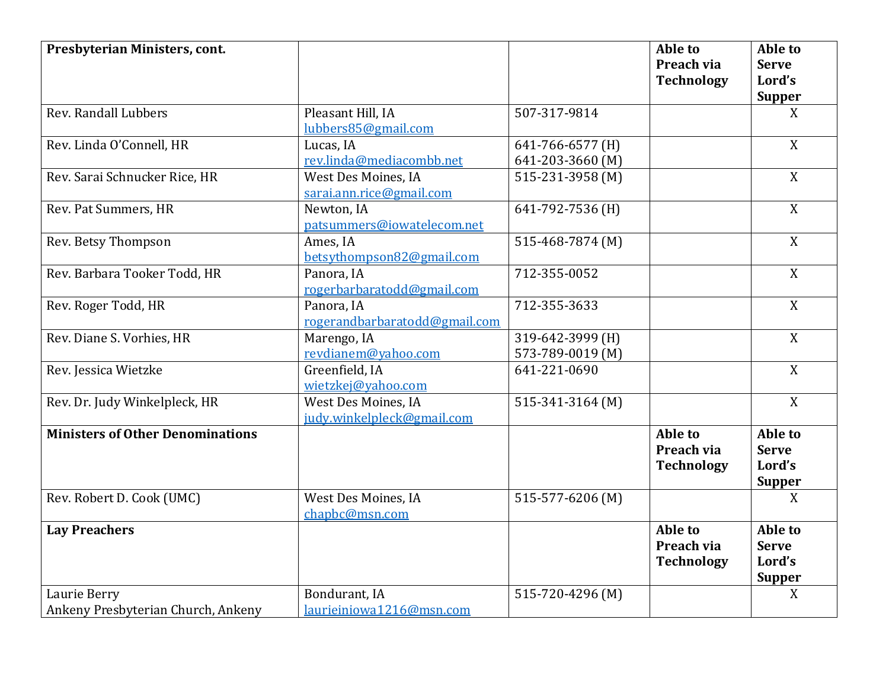| Presbyterian Ministers, cont.                      |                                                   |                                      | Able to<br>Preach via<br><b>Technology</b> | Able to<br><b>Serve</b><br>Lord's                  |
|----------------------------------------------------|---------------------------------------------------|--------------------------------------|--------------------------------------------|----------------------------------------------------|
|                                                    |                                                   |                                      |                                            | <b>Supper</b>                                      |
| Rev. Randall Lubbers                               | Pleasant Hill, IA<br>lubbers85@gmail.com          | 507-317-9814                         |                                            | X                                                  |
| Rev. Linda O'Connell, HR                           | Lucas, IA<br>rev.linda@mediacombb.net             | 641-766-6577 (H)<br>641-203-3660 (M) |                                            | X                                                  |
| Rev. Sarai Schnucker Rice, HR                      | West Des Moines, IA<br>sarai.ann.rice@gmail.com   | 515-231-3958 (M)                     |                                            | $\boldsymbol{X}$                                   |
| Rev. Pat Summers, HR                               | Newton, IA<br>patsummers@iowatelecom.net          | 641-792-7536 (H)                     |                                            | X                                                  |
| Rev. Betsy Thompson                                | Ames, IA<br>betsythompson82@gmail.com             | 515-468-7874 (M)                     |                                            | $\boldsymbol{X}$                                   |
| Rev. Barbara Tooker Todd, HR                       | Panora, IA<br>rogerbarbaratodd@gmail.com          | 712-355-0052                         |                                            | X                                                  |
| Rev. Roger Todd, HR                                | Panora, IA<br>rogerandbarbaratodd@gmail.com       | 712-355-3633                         |                                            | X                                                  |
| Rev. Diane S. Vorhies, HR                          | Marengo, IA<br>revdianem@yahoo.com                | 319-642-3999 (H)<br>573-789-0019 (M) |                                            | X                                                  |
| Rev. Jessica Wietzke                               | Greenfield, IA<br>wietzkej@yahoo.com              | 641-221-0690                         |                                            | X                                                  |
| Rev. Dr. Judy Winkelpleck, HR                      | West Des Moines, IA<br>judy.winkelpleck@gmail.com | 515-341-3164 (M)                     |                                            | X                                                  |
| <b>Ministers of Other Denominations</b>            |                                                   |                                      | Able to<br>Preach via<br><b>Technology</b> | Able to<br><b>Serve</b><br>Lord's<br><b>Supper</b> |
| Rev. Robert D. Cook (UMC)                          | West Des Moines, IA<br>chapbc@msn.com             | 515-577-6206 (M)                     |                                            | X                                                  |
| <b>Lay Preachers</b>                               |                                                   |                                      | Able to<br>Preach via<br><b>Technology</b> | Able to<br><b>Serve</b><br>Lord's<br><b>Supper</b> |
| Laurie Berry<br>Ankeny Presbyterian Church, Ankeny | Bondurant, IA<br>laurieiniowa1216@msn.com         | 515-720-4296 (M)                     |                                            | X                                                  |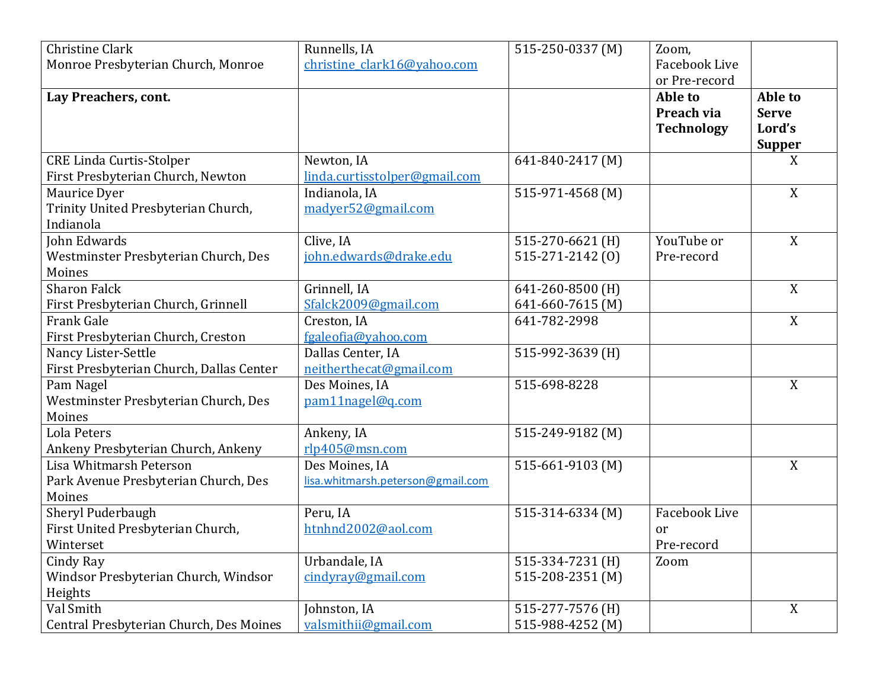| <b>Christine Clark</b><br>Monroe Presbyterian Church, Monroe              | Runnells, IA<br>christine clark16@yahoo.com         | 515-250-0337 (M)                           | Zoom,<br>Facebook Live                                      |                                                    |
|---------------------------------------------------------------------------|-----------------------------------------------------|--------------------------------------------|-------------------------------------------------------------|----------------------------------------------------|
| Lay Preachers, cont.                                                      |                                                     |                                            | or Pre-record<br>Able to<br>Preach via<br><b>Technology</b> | Able to<br><b>Serve</b><br>Lord's<br><b>Supper</b> |
| <b>CRE Linda Curtis-Stolper</b><br>First Presbyterian Church, Newton      | Newton, IA<br>linda.curtisstolper@gmail.com         | 641-840-2417 (M)                           |                                                             | X                                                  |
| Maurice Dyer<br>Trinity United Presbyterian Church,<br>Indianola          | Indianola, IA<br>madyer52@gmail.com                 | 515-971-4568 (M)                           |                                                             | X                                                  |
| John Edwards<br>Westminster Presbyterian Church, Des<br>Moines            | Clive, IA<br>john.edwards@drake.edu                 | 515-270-6621 (H)<br>515-271-2142 (0)       | YouTube or<br>Pre-record                                    | X                                                  |
| <b>Sharon Falck</b><br>First Presbyterian Church, Grinnell                | Grinnell, IA<br>Sfalck2009@gmail.com                | 641-260-8500 (H)<br>641-660-7615 (M)       |                                                             | X                                                  |
| <b>Frank Gale</b><br>First Presbyterian Church, Creston                   | Creston, IA<br>fgaleofia@yahoo.com                  | 641-782-2998                               |                                                             | X                                                  |
| Nancy Lister-Settle<br>First Presbyterian Church, Dallas Center           | Dallas Center, IA<br>neitherthecat@gmail.com        | 515-992-3639 (H)                           |                                                             |                                                    |
| Pam Nagel<br>Westminster Presbyterian Church, Des<br>Moines               | Des Moines, IA<br>pam11nagel@q.com                  | 515-698-8228                               |                                                             | X                                                  |
| Lola Peters<br>Ankeny Presbyterian Church, Ankeny                         | Ankeny, IA<br>rlp405@msn.com                        | 515-249-9182 (M)                           |                                                             |                                                    |
| Lisa Whitmarsh Peterson<br>Park Avenue Presbyterian Church, Des<br>Moines | Des Moines, IA<br>lisa.whitmarsh.peterson@gmail.com | 515-661-9103 (M)                           |                                                             | X                                                  |
| Sheryl Puderbaugh<br>First United Presbyterian Church,<br>Winterset       | Peru, IA<br>htnhnd2002@aol.com                      | 515-314-6334 (M)                           | <b>Facebook Live</b><br>or<br>Pre-record                    |                                                    |
| Cindy Ray<br>Windsor Presbyterian Church, Windsor<br>Heights              | Urbandale, IA<br>cindyray@gmail.com                 | 515-334-7231 (H)<br>$515 - 208 - 2351$ (M) | Zoom                                                        |                                                    |
| Val Smith<br>Central Presbyterian Church, Des Moines                      | Johnston, IA<br>valsmithii@gmail.com                | 515-277-7576 (H)<br>515-988-4252 (M)       |                                                             | X                                                  |